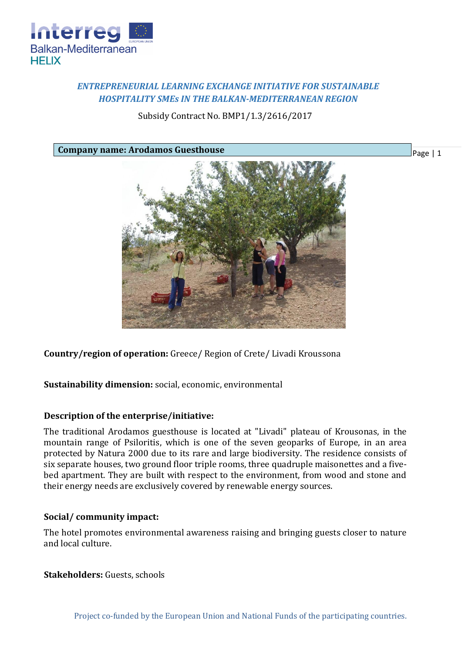

# *ENTREPRENEURIAL LEARNING EXCHANGE INITIATIVE FOR SUSTAINABLE HOSPITALITY SMEs IN THE BALKAN-MEDITERRANEAN REGION*

Subsidy Contract No. BMP1/1.3/2616/2017

**Company name: Arodamos Guesthouse**



**Country/region of operation:** Greece/ Region of Crete/ Livadi Kroussona

**Sustainability dimension:** social, economic, environmental

## **Description of the enterprise/initiative:**

The traditional Arodamos guesthouse is located at "Livadi" plateau of Krousonas, in the mountain range of Psiloritis, which is one of the seven geoparks of Europe, in an area protected by Natura 2000 due to its rare and large biodiversity. The residence consists of six separate houses, two ground floor triple rooms, three quadruple maisonettes and a fivebed apartment. They are built with respect to the environment, from wood and stone and their energy needs are exclusively covered by renewable energy sources.

## **Social/ community impact:**

The hotel promotes environmental awareness raising and bringing guests closer to nature and local culture.

**Stakeholders:** Guests, schools

Page | 1